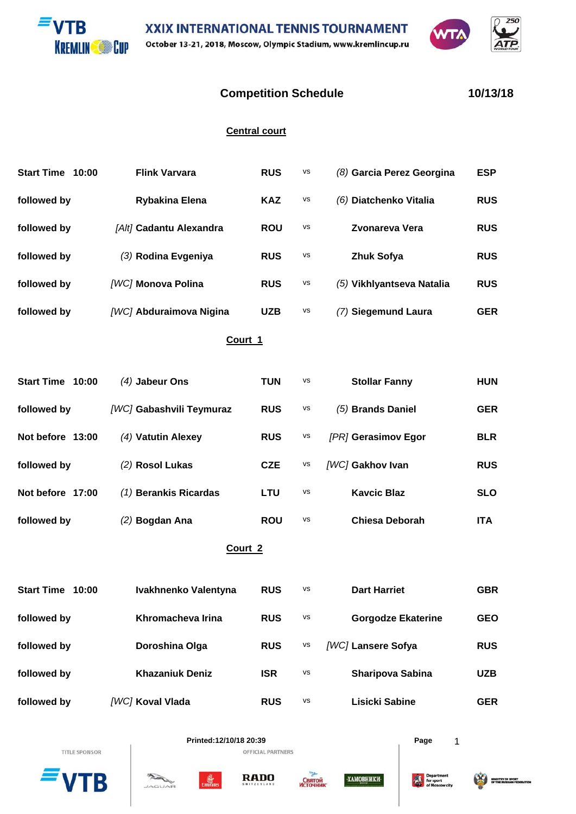



## **Competition Schedule 10/13/18**

250

## **Central court**

| Start Time 10:00 | <b>Flink Varvara</b>      | <b>RUS</b> | <b>VS</b> | (8) Garcia Perez Georgina | <b>ESP</b> |  |  |
|------------------|---------------------------|------------|-----------|---------------------------|------------|--|--|
| followed by      | Rybakina Elena            | <b>KAZ</b> | <b>VS</b> | (6) Diatchenko Vitalia    | <b>RUS</b> |  |  |
| followed by      | [Alt] Cadantu Alexandra   | <b>ROU</b> | <b>VS</b> | <b>Zvonareva Vera</b>     | <b>RUS</b> |  |  |
| followed by      | (3) Rodina Evgeniya       | <b>RUS</b> | <b>VS</b> | <b>Zhuk Sofya</b>         | <b>RUS</b> |  |  |
| followed by      | <b>[WC] Monova Polina</b> | <b>RUS</b> | VS        | (5) Vikhlyantseva Natalia | <b>RUS</b> |  |  |
| followed by      | [WC] Abduraimova Nigina   | <b>UZB</b> | <b>VS</b> | (7) Siegemund Laura       | <b>GER</b> |  |  |
| Court 1          |                           |            |           |                           |            |  |  |
| Start Time 10:00 | $(4)$ Jabeur Ons          | <b>TUN</b> | <b>VS</b> | <b>Stollar Fanny</b>      | <b>HUN</b> |  |  |
| followed by      | [WC] Gabashvili Teymuraz  | <b>RUS</b> | <b>VS</b> | (5) Brands Daniel         | <b>GER</b> |  |  |
| Not before 13:00 | (4) Vatutin Alexey        | <b>RUS</b> | vs        | [PR] Gerasimov Egor       | <b>BLR</b> |  |  |
| followed by      | (2) Rosol Lukas           | <b>CZE</b> | VS        | [WC] Gakhov Ivan          | <b>RUS</b> |  |  |
| Not before 17:00 | (1) Berankis Ricardas     | <b>LTU</b> | vs        | <b>Kavcic Blaz</b>        | <b>SLO</b> |  |  |
| followed by      | (2) Bogdan Ana            | <b>ROU</b> | vs        | <b>Chiesa Deborah</b>     | <b>ITA</b> |  |  |
| Court 2          |                           |            |           |                           |            |  |  |

**Court 2**

| Start Time 10:00 | Ivakhnenko Valentyna   | <b>RUS</b> | <b>VS</b> | <b>Dart Harriet</b>       | <b>GBR</b> |
|------------------|------------------------|------------|-----------|---------------------------|------------|
| followed by      | Khromacheva Irina      | <b>RUS</b> | <b>VS</b> | <b>Gorgodze Ekaterine</b> | <b>GEO</b> |
| followed by      | Doroshina Olga         | <b>RUS</b> | <b>VS</b> | <b>[WC] Lansere Sofya</b> | <b>RUS</b> |
| followed by      | <b>Khazaniuk Deniz</b> | <b>ISR</b> | <b>VS</b> | <b>Sharipova Sabina</b>   | <b>UZB</b> |
| followed by      | [WC] Koval Vlada       | <b>RUS</b> | <b>VS</b> | Lisicki Sabine            | <b>GER</b> |





왊

 $ACU$ 

**RADO** 



**ХАМОВНИКИ** 

趣